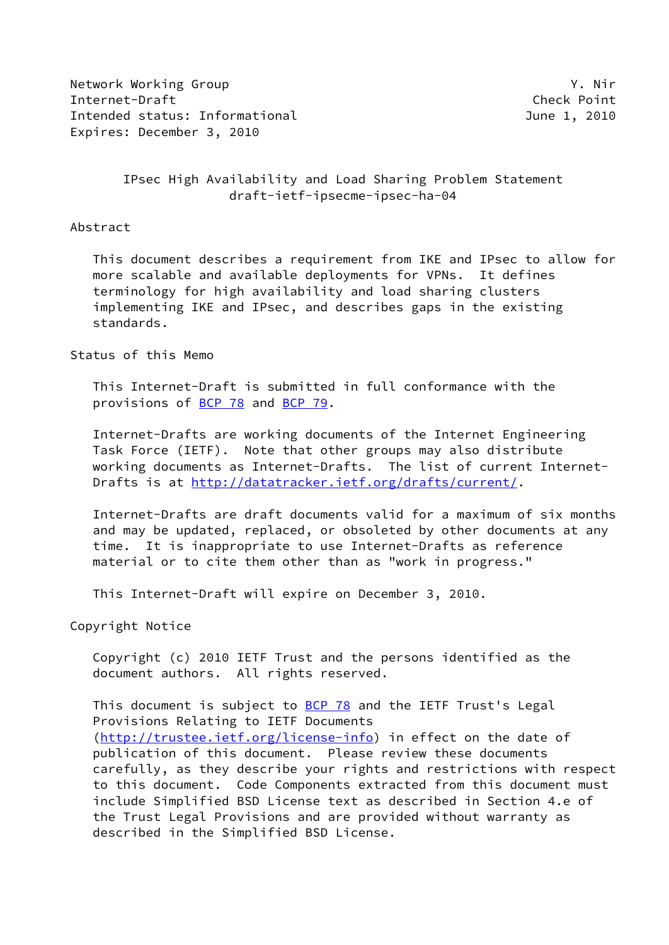Network Working Group Y. Nir Internet-Draft Check Point Intended status: Informational and the control of the control of the 1, 2010 Expires: December 3, 2010

## IPsec High Availability and Load Sharing Problem Statement draft-ietf-ipsecme-ipsec-ha-04

### Abstract

 This document describes a requirement from IKE and IPsec to allow for more scalable and available deployments for VPNs. It defines terminology for high availability and load sharing clusters implementing IKE and IPsec, and describes gaps in the existing standards.

## Status of this Memo

 This Internet-Draft is submitted in full conformance with the provisions of [BCP 78](https://datatracker.ietf.org/doc/pdf/bcp78) and [BCP 79](https://datatracker.ietf.org/doc/pdf/bcp79).

 Internet-Drafts are working documents of the Internet Engineering Task Force (IETF). Note that other groups may also distribute working documents as Internet-Drafts. The list of current Internet- Drafts is at<http://datatracker.ietf.org/drafts/current/>.

 Internet-Drafts are draft documents valid for a maximum of six months and may be updated, replaced, or obsoleted by other documents at any time. It is inappropriate to use Internet-Drafts as reference material or to cite them other than as "work in progress."

This Internet-Draft will expire on December 3, 2010.

Copyright Notice

 Copyright (c) 2010 IETF Trust and the persons identified as the document authors. All rights reserved.

This document is subject to **[BCP 78](https://datatracker.ietf.org/doc/pdf/bcp78)** and the IETF Trust's Legal Provisions Relating to IETF Documents [\(http://trustee.ietf.org/license-info](http://trustee.ietf.org/license-info)) in effect on the date of publication of this document. Please review these documents carefully, as they describe your rights and restrictions with respect to this document. Code Components extracted from this document must include Simplified BSD License text as described in Section 4.e of the Trust Legal Provisions and are provided without warranty as described in the Simplified BSD License.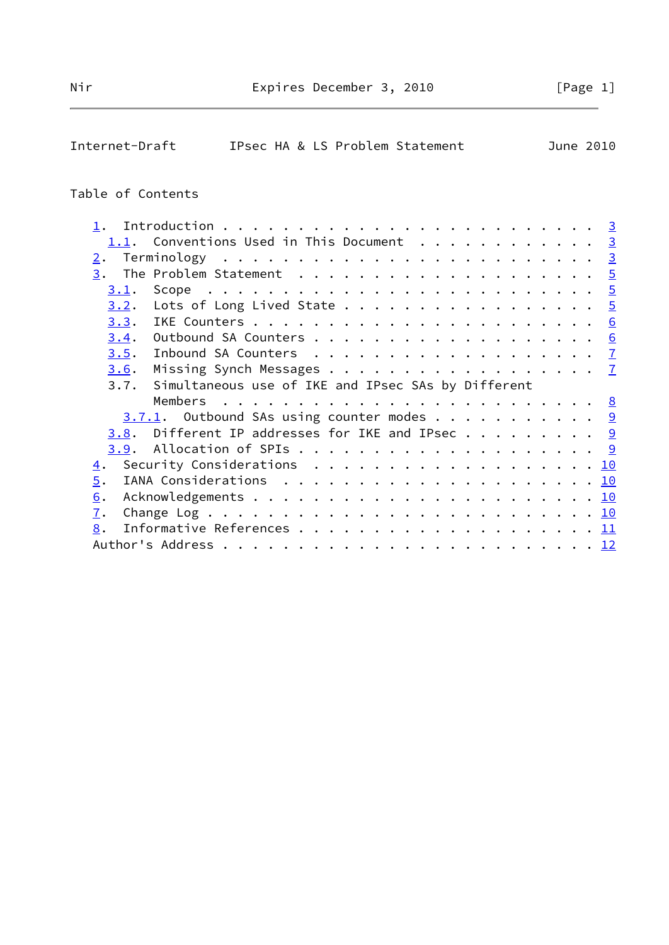# Internet-Draft IPsec HA & LS Problem Statement June 2010

## Table of Contents

| 1.1. Conventions Used in This Document 3                                                                      |  |  |
|---------------------------------------------------------------------------------------------------------------|--|--|
| 2.                                                                                                            |  |  |
|                                                                                                               |  |  |
| 3.1.                                                                                                          |  |  |
| 3.2.<br>Lots of Long Lived State 5                                                                            |  |  |
| 3.3.                                                                                                          |  |  |
| 3.4.                                                                                                          |  |  |
| 3.5.                                                                                                          |  |  |
| Missing Synch Messages 7<br>3.6.                                                                              |  |  |
| Simultaneous use of IKE and IPsec SAs by Different<br>3.7.                                                    |  |  |
|                                                                                                               |  |  |
| $3.7.1$ . Outbound SAs using counter modes 9                                                                  |  |  |
| <u>3.8</u> . Different IP addresses for IKE and IPsec $9$                                                     |  |  |
|                                                                                                               |  |  |
| Security Considerations $\ldots \ldots \ldots \ldots \ldots \ldots \ldots \underline{10}$<br>$\overline{4}$ . |  |  |
| 5.<br>IANA Considerations $\ldots \ldots \ldots \ldots \ldots \ldots \ldots \ldots \underline{10}$            |  |  |
| 6.                                                                                                            |  |  |
| 7.                                                                                                            |  |  |
| 8.                                                                                                            |  |  |
|                                                                                                               |  |  |
|                                                                                                               |  |  |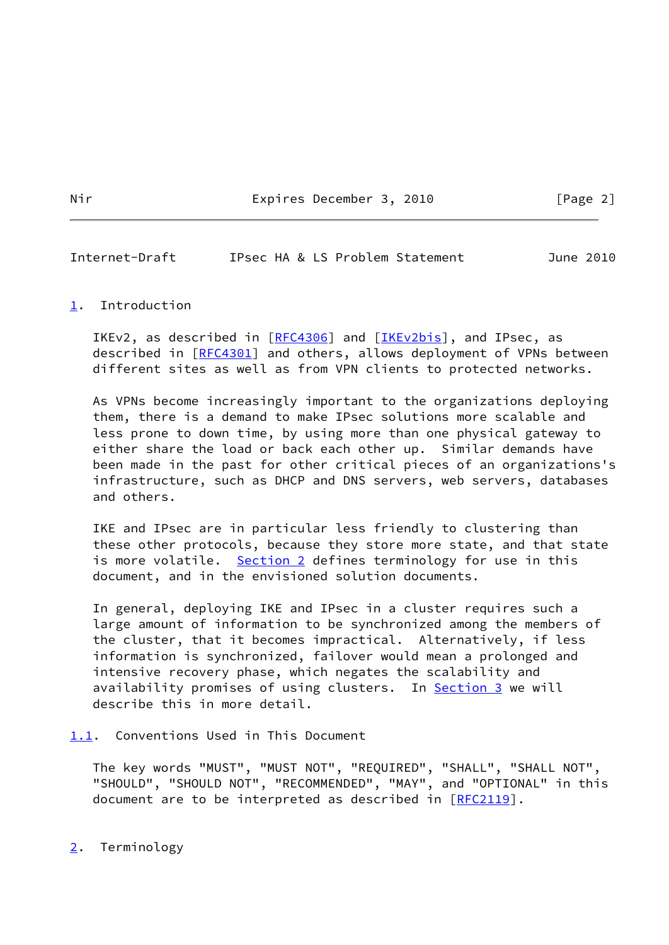<span id="page-2-1"></span>Internet-Draft IPsec HA & LS Problem Statement June 2010

## <span id="page-2-0"></span>[1](#page-2-0). Introduction

IKEv2, as described in [\[RFC4306](https://datatracker.ietf.org/doc/pdf/rfc4306)] and [\[IKEv2bis](#page-11-2)], and IPsec, as described in [\[RFC4301](https://datatracker.ietf.org/doc/pdf/rfc4301)] and others, allows deployment of VPNs between different sites as well as from VPN clients to protected networks.

 As VPNs become increasingly important to the organizations deploying them, there is a demand to make IPsec solutions more scalable and less prone to down time, by using more than one physical gateway to either share the load or back each other up. Similar demands have been made in the past for other critical pieces of an organizations's infrastructure, such as DHCP and DNS servers, web servers, databases and others.

 IKE and IPsec are in particular less friendly to clustering than these other protocols, because they store more state, and that state is more volatile. [Section 2](#page-2-3) defines terminology for use in this document, and in the envisioned solution documents.

 In general, deploying IKE and IPsec in a cluster requires such a large amount of information to be synchronized among the members of the cluster, that it becomes impractical. Alternatively, if less information is synchronized, failover would mean a prolonged and intensive recovery phase, which negates the scalability and availability promises of using clusters. In **Section 3** we will describe this in more detail.

<span id="page-2-2"></span>[1.1](#page-2-2). Conventions Used in This Document

 The key words "MUST", "MUST NOT", "REQUIRED", "SHALL", "SHALL NOT", "SHOULD", "SHOULD NOT", "RECOMMENDED", "MAY", and "OPTIONAL" in this document are to be interpreted as described in [\[RFC2119](https://datatracker.ietf.org/doc/pdf/rfc2119)].

<span id="page-2-3"></span>[2](#page-2-3). Terminology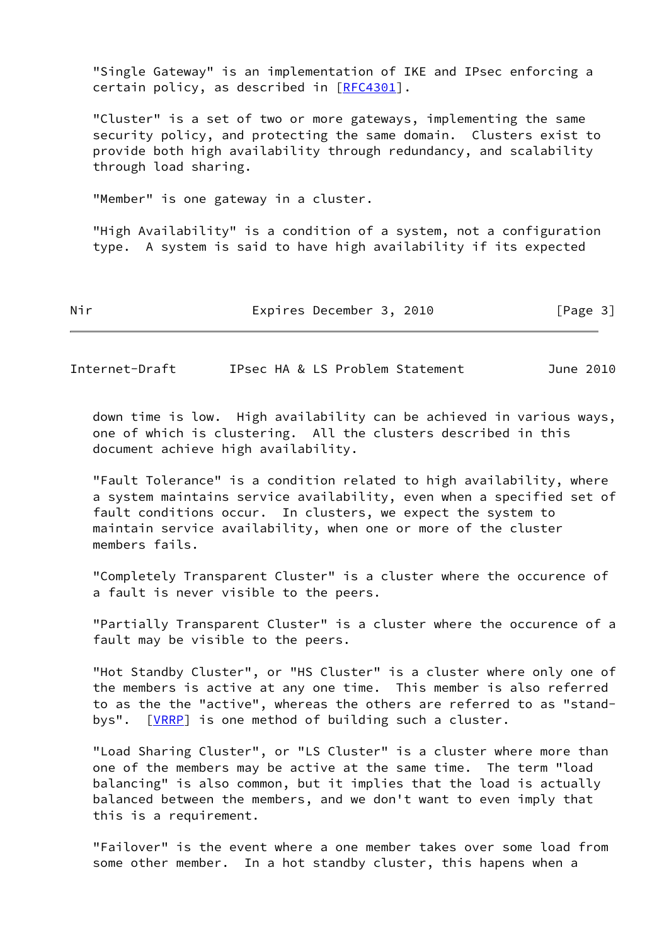"Single Gateway" is an implementation of IKE and IPsec enforcing a certain policy, as described in [\[RFC4301](https://datatracker.ietf.org/doc/pdf/rfc4301)].

 "Cluster" is a set of two or more gateways, implementing the same security policy, and protecting the same domain. Clusters exist to provide both high availability through redundancy, and scalability through load sharing.

"Member" is one gateway in a cluster.

 "High Availability" is a condition of a system, not a configuration type. A system is said to have high availability if its expected

Nir **Expires December 3, 2010** [Page 3]

Internet-Draft IPsec HA & LS Problem Statement June 2010

 down time is low. High availability can be achieved in various ways, one of which is clustering. All the clusters described in this document achieve high availability.

 "Fault Tolerance" is a condition related to high availability, where a system maintains service availability, even when a specified set of fault conditions occur. In clusters, we expect the system to maintain service availability, when one or more of the cluster members fails.

 "Completely Transparent Cluster" is a cluster where the occurence of a fault is never visible to the peers.

 "Partially Transparent Cluster" is a cluster where the occurence of a fault may be visible to the peers.

 "Hot Standby Cluster", or "HS Cluster" is a cluster where only one of the members is active at any one time. This member is also referred to as the the "active", whereas the others are referred to as "stand- bys". [\[VRRP](#page-12-1)] is one method of building such a cluster.

 "Load Sharing Cluster", or "LS Cluster" is a cluster where more than one of the members may be active at the same time. The term "load balancing" is also common, but it implies that the load is actually balanced between the members, and we don't want to even imply that this is a requirement.

 "Failover" is the event where a one member takes over some load from some other member. In a hot standby cluster, this hapens when a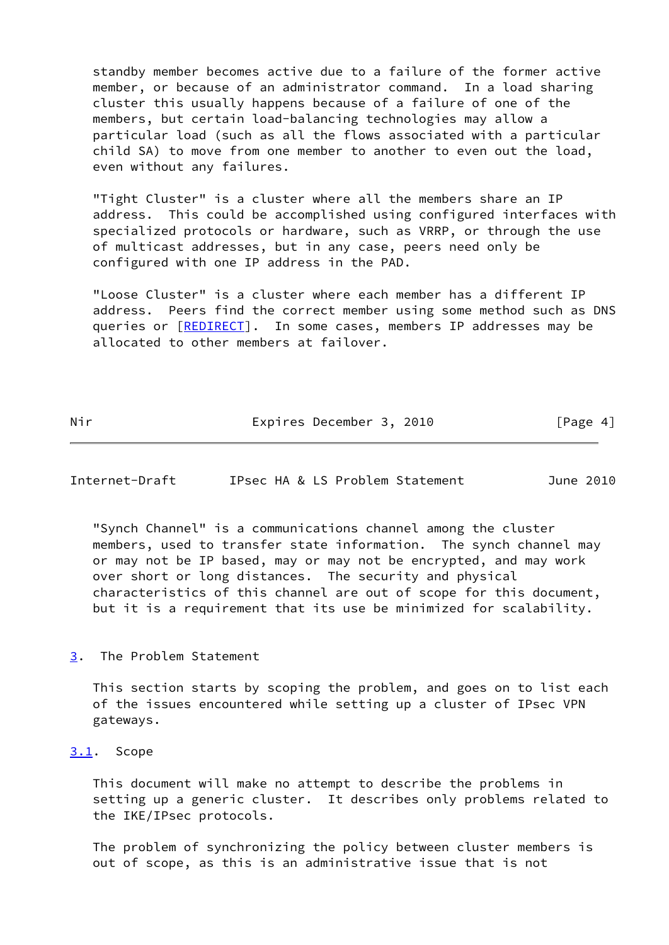standby member becomes active due to a failure of the former active member, or because of an administrator command. In a load sharing cluster this usually happens because of a failure of one of the members, but certain load-balancing technologies may allow a particular load (such as all the flows associated with a particular child SA) to move from one member to another to even out the load, even without any failures.

 "Tight Cluster" is a cluster where all the members share an IP address. This could be accomplished using configured interfaces with specialized protocols or hardware, such as VRRP, or through the use of multicast addresses, but in any case, peers need only be configured with one IP address in the PAD.

 "Loose Cluster" is a cluster where each member has a different IP address. Peers find the correct member using some method such as DNS queries or [[REDIRECT\]](#page-12-2). In some cases, members IP addresses may be allocated to other members at failover.

Nir **Expires December 3, 2010** [Page 4]

<span id="page-4-1"></span>Internet-Draft IPsec HA & LS Problem Statement June 2010

 "Synch Channel" is a communications channel among the cluster members, used to transfer state information. The synch channel may or may not be IP based, may or may not be encrypted, and may work over short or long distances. The security and physical characteristics of this channel are out of scope for this document, but it is a requirement that its use be minimized for scalability.

<span id="page-4-0"></span>[3](#page-4-0). The Problem Statement

 This section starts by scoping the problem, and goes on to list each of the issues encountered while setting up a cluster of IPsec VPN gateways.

<span id="page-4-2"></span>[3.1](#page-4-2). Scope

 This document will make no attempt to describe the problems in setting up a generic cluster. It describes only problems related to the IKE/IPsec protocols.

 The problem of synchronizing the policy between cluster members is out of scope, as this is an administrative issue that is not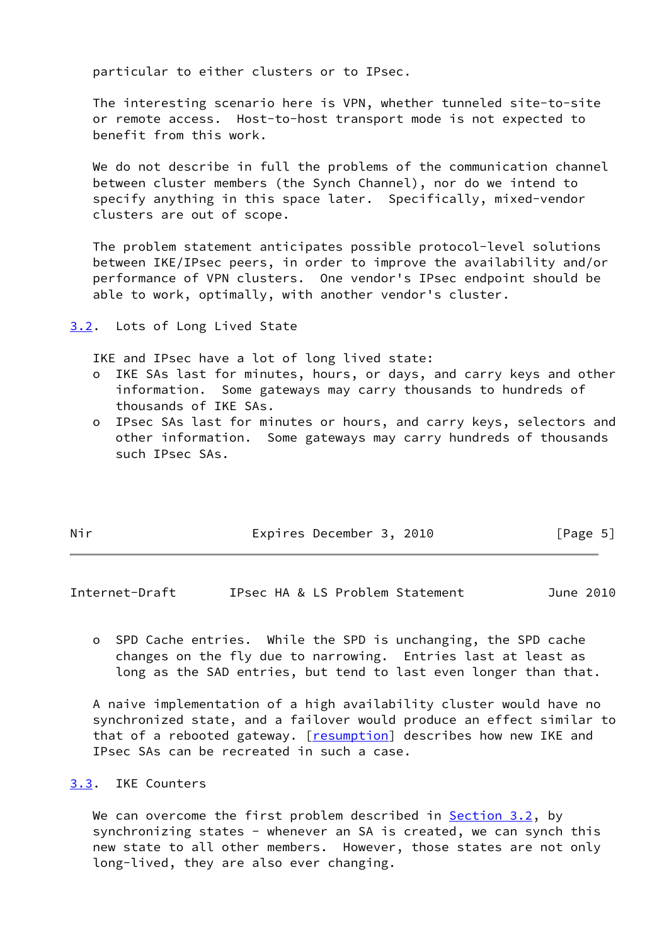particular to either clusters or to IPsec.

 The interesting scenario here is VPN, whether tunneled site-to-site or remote access. Host-to-host transport mode is not expected to benefit from this work.

We do not describe in full the problems of the communication channel between cluster members (the Synch Channel), nor do we intend to specify anything in this space later. Specifically, mixed-vendor clusters are out of scope.

 The problem statement anticipates possible protocol-level solutions between IKE/IPsec peers, in order to improve the availability and/or performance of VPN clusters. One vendor's IPsec endpoint should be able to work, optimally, with another vendor's cluster.

<span id="page-5-0"></span>[3.2](#page-5-0). Lots of Long Lived State

IKE and IPsec have a lot of long lived state:

- o IKE SAs last for minutes, hours, or days, and carry keys and other information. Some gateways may carry thousands to hundreds of thousands of IKE SAs.
- o IPsec SAs last for minutes or hours, and carry keys, selectors and other information. Some gateways may carry hundreds of thousands such IPsec SAs.

| Nir | Expires December 3, 2010 |  | [Page 5] |  |
|-----|--------------------------|--|----------|--|
|     |                          |  |          |  |

<span id="page-5-2"></span>Internet-Draft IPsec HA & LS Problem Statement June 2010

 o SPD Cache entries. While the SPD is unchanging, the SPD cache changes on the fly due to narrowing. Entries last at least as long as the SAD entries, but tend to last even longer than that.

 A naive implementation of a high availability cluster would have no synchronized state, and a failover would produce an effect similar to that of a rebooted gateway. [\[resumption\]](#page-12-3) describes how new IKE and IPsec SAs can be recreated in such a case.

## <span id="page-5-1"></span>[3.3](#page-5-1). IKE Counters

We can overcome the first problem described in Section  $3.2$ , by synchronizing states - whenever an SA is created, we can synch this new state to all other members. However, those states are not only long-lived, they are also ever changing.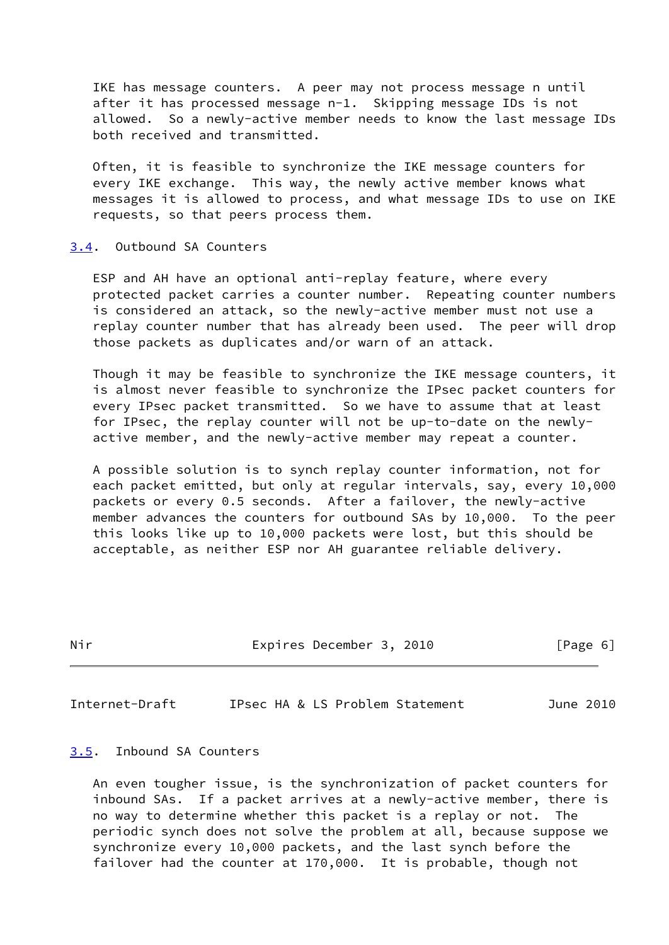IKE has message counters. A peer may not process message n until after it has processed message n-1. Skipping message IDs is not allowed. So a newly-active member needs to know the last message IDs both received and transmitted.

 Often, it is feasible to synchronize the IKE message counters for every IKE exchange. This way, the newly active member knows what messages it is allowed to process, and what message IDs to use on IKE requests, so that peers process them.

### <span id="page-6-0"></span>[3.4](#page-6-0). Outbound SA Counters

 ESP and AH have an optional anti-replay feature, where every protected packet carries a counter number. Repeating counter numbers is considered an attack, so the newly-active member must not use a replay counter number that has already been used. The peer will drop those packets as duplicates and/or warn of an attack.

 Though it may be feasible to synchronize the IKE message counters, it is almost never feasible to synchronize the IPsec packet counters for every IPsec packet transmitted. So we have to assume that at least for IPsec, the replay counter will not be up-to-date on the newly active member, and the newly-active member may repeat a counter.

 A possible solution is to synch replay counter information, not for each packet emitted, but only at regular intervals, say, every 10,000 packets or every 0.5 seconds. After a failover, the newly-active member advances the counters for outbound SAs by 10,000. To the peer this looks like up to 10,000 packets were lost, but this should be acceptable, as neither ESP nor AH guarantee reliable delivery.

| Nir | Expires December 3, 2010 | [Page 6] |
|-----|--------------------------|----------|
|     |                          |          |

<span id="page-6-2"></span>Internet-Draft IPsec HA & LS Problem Statement June 2010

## <span id="page-6-1"></span>[3.5](#page-6-1). Inbound SA Counters

 An even tougher issue, is the synchronization of packet counters for inbound SAs. If a packet arrives at a newly-active member, there is no way to determine whether this packet is a replay or not. The periodic synch does not solve the problem at all, because suppose we synchronize every 10,000 packets, and the last synch before the failover had the counter at 170,000. It is probable, though not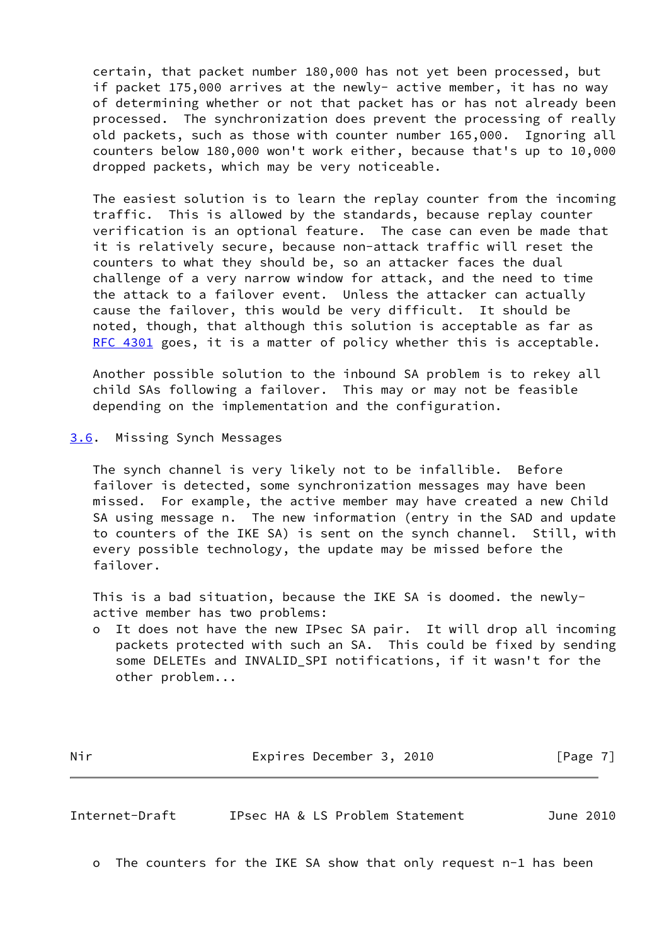certain, that packet number 180,000 has not yet been processed, but if packet 175,000 arrives at the newly- active member, it has no way of determining whether or not that packet has or has not already been processed. The synchronization does prevent the processing of really old packets, such as those with counter number 165,000. Ignoring all counters below 180,000 won't work either, because that's up to 10,000 dropped packets, which may be very noticeable.

 The easiest solution is to learn the replay counter from the incoming traffic. This is allowed by the standards, because replay counter verification is an optional feature. The case can even be made that it is relatively secure, because non-attack traffic will reset the counters to what they should be, so an attacker faces the dual challenge of a very narrow window for attack, and the need to time the attack to a failover event. Unless the attacker can actually cause the failover, this would be very difficult. It should be noted, though, that although this solution is acceptable as far as [RFC 4301](https://datatracker.ietf.org/doc/pdf/rfc4301) goes, it is a matter of policy whether this is acceptable.

 Another possible solution to the inbound SA problem is to rekey all child SAs following a failover. This may or may not be feasible depending on the implementation and the configuration.

<span id="page-7-0"></span>[3.6](#page-7-0). Missing Synch Messages

 The synch channel is very likely not to be infallible. Before failover is detected, some synchronization messages may have been missed. For example, the active member may have created a new Child SA using message n. The new information (entry in the SAD and update to counters of the IKE SA) is sent on the synch channel. Still, with every possible technology, the update may be missed before the failover.

 This is a bad situation, because the IKE SA is doomed. the newly active member has two problems:

 o It does not have the new IPsec SA pair. It will drop all incoming packets protected with such an SA. This could be fixed by sending some DELETEs and INVALID\_SPI notifications, if it wasn't for the other problem...

Nir **Expires December 3, 2010** [Page 7]

<span id="page-7-1"></span>Internet-Draft IPsec HA & LS Problem Statement June 2010

o The counters for the IKE SA show that only request n-1 has been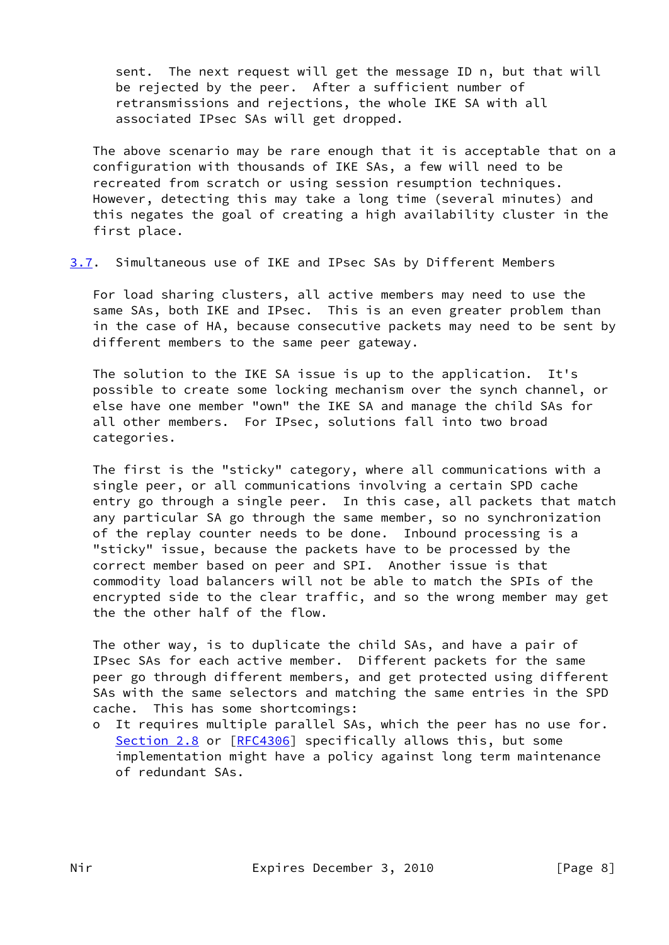sent. The next request will get the message ID n, but that will be rejected by the peer. After a sufficient number of retransmissions and rejections, the whole IKE SA with all associated IPsec SAs will get dropped.

 The above scenario may be rare enough that it is acceptable that on a configuration with thousands of IKE SAs, a few will need to be recreated from scratch or using session resumption techniques. However, detecting this may take a long time (several minutes) and this negates the goal of creating a high availability cluster in the first place.

<span id="page-8-0"></span>[3.7](#page-8-0). Simultaneous use of IKE and IPsec SAs by Different Members

 For load sharing clusters, all active members may need to use the same SAs, both IKE and IPsec. This is an even greater problem than in the case of HA, because consecutive packets may need to be sent by different members to the same peer gateway.

 The solution to the IKE SA issue is up to the application. It's possible to create some locking mechanism over the synch channel, or else have one member "own" the IKE SA and manage the child SAs for all other members. For IPsec, solutions fall into two broad categories.

 The first is the "sticky" category, where all communications with a single peer, or all communications involving a certain SPD cache entry go through a single peer. In this case, all packets that match any particular SA go through the same member, so no synchronization of the replay counter needs to be done. Inbound processing is a "sticky" issue, because the packets have to be processed by the correct member based on peer and SPI. Another issue is that commodity load balancers will not be able to match the SPIs of the encrypted side to the clear traffic, and so the wrong member may get the the other half of the flow.

 The other way, is to duplicate the child SAs, and have a pair of IPsec SAs for each active member. Different packets for the same peer go through different members, and get protected using different SAs with the same selectors and matching the same entries in the SPD cache. This has some shortcomings:

 o It requires multiple parallel SAs, which the peer has no use for. Section 2.8 or [[RFC4306](https://datatracker.ietf.org/doc/pdf/rfc4306)] specifically allows this, but some implementation might have a policy against long term maintenance of redundant SAs.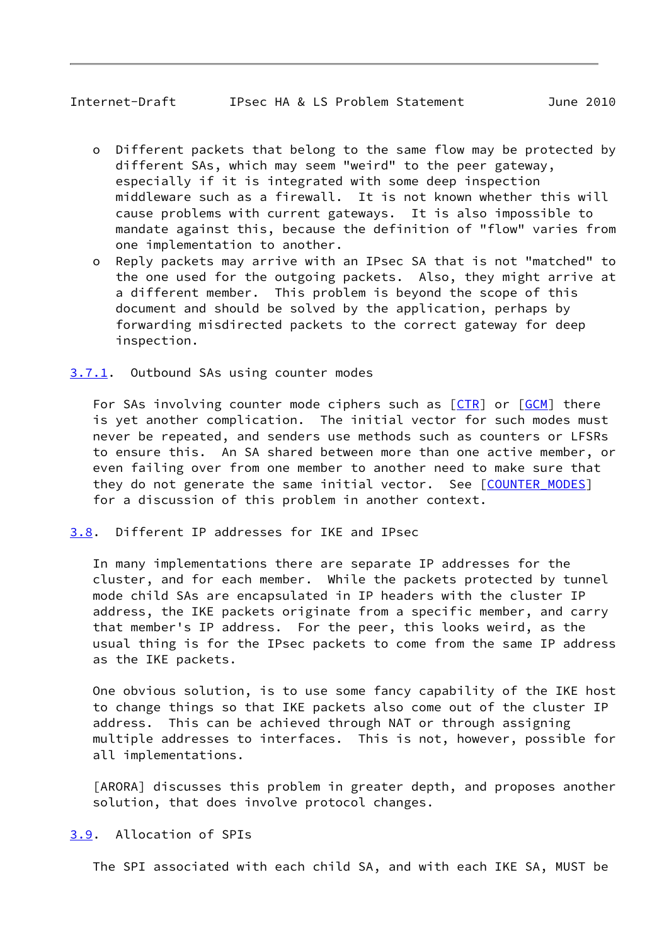## <span id="page-9-1"></span>Internet-Draft IPsec HA & LS Problem Statement June 2010

- o Different packets that belong to the same flow may be protected by different SAs, which may seem "weird" to the peer gateway, especially if it is integrated with some deep inspection middleware such as a firewall. It is not known whether this will cause problems with current gateways. It is also impossible to mandate against this, because the definition of "flow" varies from one implementation to another.
- o Reply packets may arrive with an IPsec SA that is not "matched" to the one used for the outgoing packets. Also, they might arrive at a different member. This problem is beyond the scope of this document and should be solved by the application, perhaps by forwarding misdirected packets to the correct gateway for deep inspection.

### <span id="page-9-0"></span>[3.7.1](#page-9-0). Outbound SAs using counter modes

For SAs involving counter mode ciphers such as  $[CTR]$  $[CTR]$  or  $[GCM]$  $[GCM]$  there is yet another complication. The initial vector for such modes must never be repeated, and senders use methods such as counters or LFSRs to ensure this. An SA shared between more than one active member, or even failing over from one member to another need to make sure that they do not generate the same initial vector. See [COUNTER MODES] for a discussion of this problem in another context.

## <span id="page-9-2"></span>[3.8](#page-9-2). Different IP addresses for IKE and IPsec

 In many implementations there are separate IP addresses for the cluster, and for each member. While the packets protected by tunnel mode child SAs are encapsulated in IP headers with the cluster IP address, the IKE packets originate from a specific member, and carry that member's IP address. For the peer, this looks weird, as the usual thing is for the IPsec packets to come from the same IP address as the IKE packets.

 One obvious solution, is to use some fancy capability of the IKE host to change things so that IKE packets also come out of the cluster IP address. This can be achieved through NAT or through assigning multiple addresses to interfaces. This is not, however, possible for all implementations.

<span id="page-9-4"></span> [ARORA] discusses this problem in greater depth, and proposes another solution, that does involve protocol changes.

## <span id="page-9-3"></span>[3.9](#page-9-3). Allocation of SPIs

The SPI associated with each child SA, and with each IKE SA, MUST be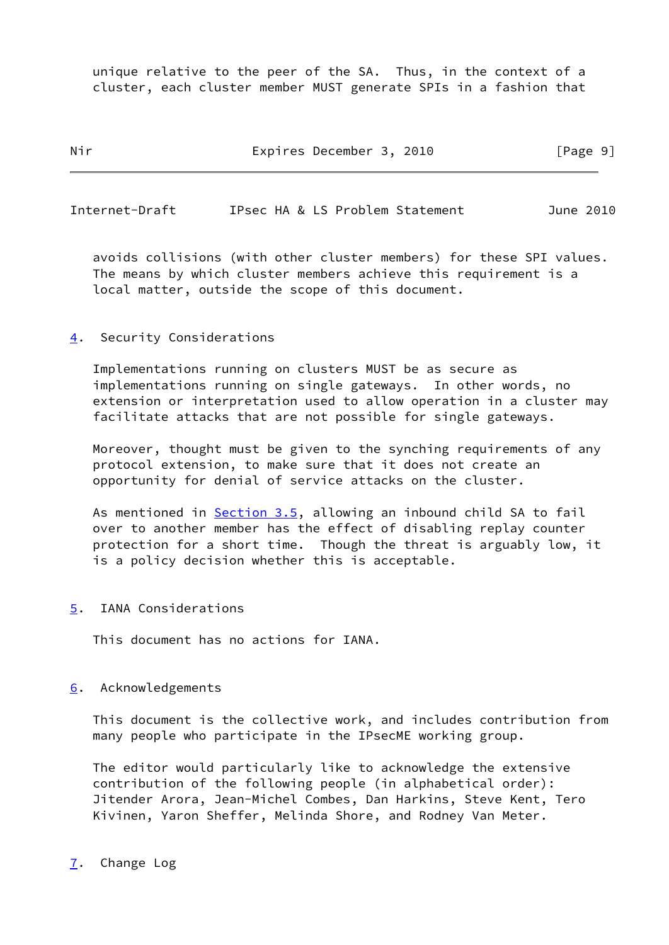unique relative to the peer of the SA. Thus, in the context of a cluster, each cluster member MUST generate SPIs in a fashion that

Nir **Expires December 3, 2010** [Page 9]

<span id="page-10-1"></span>Internet-Draft IPsec HA & LS Problem Statement June 2010

 avoids collisions (with other cluster members) for these SPI values. The means by which cluster members achieve this requirement is a local matter, outside the scope of this document.

<span id="page-10-0"></span>[4](#page-10-0). Security Considerations

 Implementations running on clusters MUST be as secure as implementations running on single gateways. In other words, no extension or interpretation used to allow operation in a cluster may facilitate attacks that are not possible for single gateways.

 Moreover, thought must be given to the synching requirements of any protocol extension, to make sure that it does not create an opportunity for denial of service attacks on the cluster.

As mentioned in **Section 3.5**, allowing an inbound child SA to fail over to another member has the effect of disabling replay counter protection for a short time. Though the threat is arguably low, it is a policy decision whether this is acceptable.

<span id="page-10-2"></span>[5](#page-10-2). IANA Considerations

This document has no actions for IANA.

### <span id="page-10-3"></span>[6](#page-10-3). Acknowledgements

 This document is the collective work, and includes contribution from many people who participate in the IPsecME working group.

 The editor would particularly like to acknowledge the extensive contribution of the following people (in alphabetical order): Jitender Arora, Jean-Michel Combes, Dan Harkins, Steve Kent, Tero Kivinen, Yaron Sheffer, Melinda Shore, and Rodney Van Meter.

#### <span id="page-10-4"></span>[7](#page-10-4). Change Log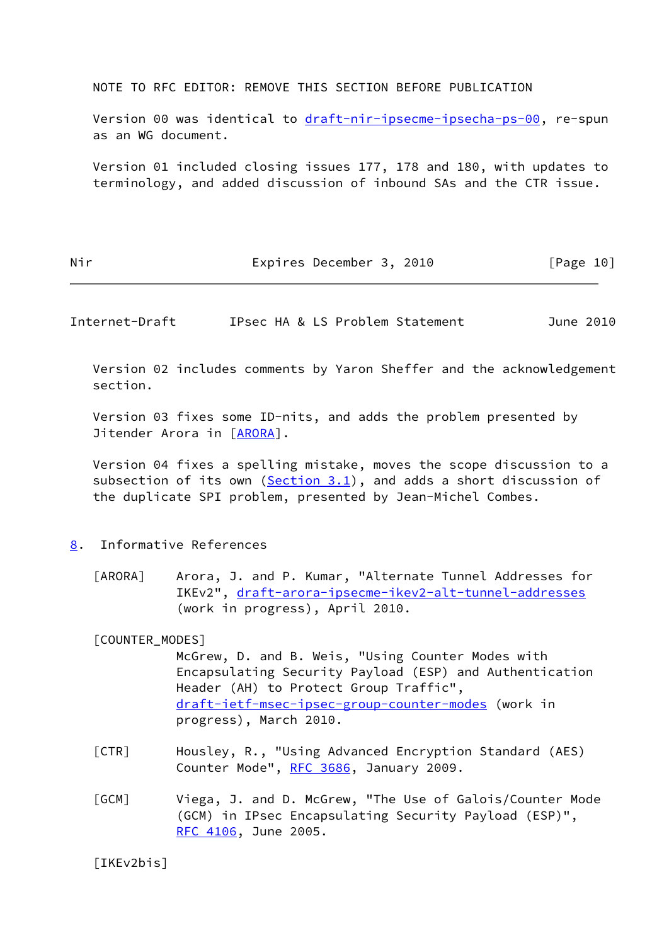NOTE TO RFC EDITOR: REMOVE THIS SECTION BEFORE PUBLICATION

Version 00 was identical to [draft-nir-ipsecme-ipsecha-ps-00,](https://datatracker.ietf.org/doc/pdf/draft-nir-ipsecme-ipsecha-ps-00) re-spun as an WG document.

 Version 01 included closing issues 177, 178 and 180, with updates to terminology, and added discussion of inbound SAs and the CTR issue.

Nir **Expires December 3, 2010** [Page 10]

<span id="page-11-1"></span>Internet-Draft IPsec HA & LS Problem Statement June 2010

 Version 02 includes comments by Yaron Sheffer and the acknowledgement section.

 Version 03 fixes some ID-nits, and adds the problem presented by Jitender Arora in [[ARORA\]](#page-9-4).

 Version 04 fixes a spelling mistake, moves the scope discussion to a subsection of its own ([Section 3.1](#page-4-2)), and adds a short discussion of the duplicate SPI problem, presented by Jean-Michel Combes.

## <span id="page-11-0"></span>[8](#page-11-0). Informative References

[ARORA] Arora, J. and P. Kumar, "Alternate Tunnel Addresses for IKEv2", [draft-arora-ipsecme-ikev2-alt-tunnel-addresses](https://datatracker.ietf.org/doc/pdf/draft-arora-ipsecme-ikev2-alt-tunnel-addresses) (work in progress), April 2010.

<span id="page-11-5"></span>[COUNTER\_MODES]

 McGrew, D. and B. Weis, "Using Counter Modes with Encapsulating Security Payload (ESP) and Authentication Header (AH) to Protect Group Traffic", [draft-ietf-msec-ipsec-group-counter-modes](https://datatracker.ietf.org/doc/pdf/draft-ietf-msec-ipsec-group-counter-modes) (work in progress), March 2010.

- <span id="page-11-3"></span> [CTR] Housley, R., "Using Advanced Encryption Standard (AES) Counter Mode", [RFC 3686](https://datatracker.ietf.org/doc/pdf/rfc3686), January 2009.
- <span id="page-11-4"></span> [GCM] Viega, J. and D. McGrew, "The Use of Galois/Counter Mode (GCM) in IPsec Encapsulating Security Payload (ESP)", [RFC 4106,](https://datatracker.ietf.org/doc/pdf/rfc4106) June 2005.

<span id="page-11-2"></span>[IKEv2bis]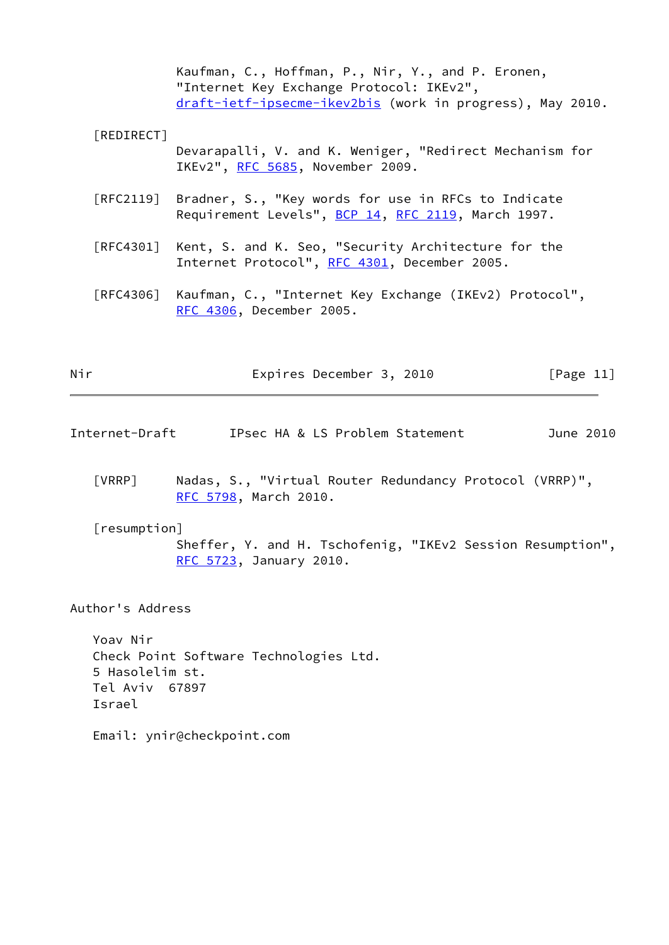Kaufman, C., Hoffman, P., Nir, Y., and P. Eronen, "Internet Key Exchange Protocol: IKEv2", [draft-ietf-ipsecme-ikev2bis](https://datatracker.ietf.org/doc/pdf/draft-ietf-ipsecme-ikev2bis) (work in progress), May 2010.

## <span id="page-12-2"></span>[REDIRECT]

 Devarapalli, V. and K. Weniger, "Redirect Mechanism for IKEv2", [RFC 5685,](https://datatracker.ietf.org/doc/pdf/rfc5685) November 2009.

- [RFC2119] Bradner, S., "Key words for use in RFCs to Indicate Requirement Levels", [BCP 14](https://datatracker.ietf.org/doc/pdf/bcp14), [RFC 2119](https://datatracker.ietf.org/doc/pdf/rfc2119), March 1997.
- [RFC4301] Kent, S. and K. Seo, "Security Architecture for the Internet Protocol", [RFC 4301,](https://datatracker.ietf.org/doc/pdf/rfc4301) December 2005.
- [RFC4306] Kaufman, C., "Internet Key Exchange (IKEv2) Protocol", [RFC 4306,](https://datatracker.ietf.org/doc/pdf/rfc4306) December 2005.

Nir **Expires December 3, 2010** [Page 11]

- <span id="page-12-0"></span>Internet-Draft IPsec HA & LS Problem Statement June 2010
	- [VRRP] Nadas, S., "Virtual Router Redundancy Protocol (VRRP)", [RFC 5798,](https://datatracker.ietf.org/doc/pdf/rfc5798) March 2010.

<span id="page-12-3"></span><span id="page-12-1"></span> [resumption] Sheffer, Y. and H. Tschofenig, "IKEv2 Session Resumption", [RFC 5723,](https://datatracker.ietf.org/doc/pdf/rfc5723) January 2010.

Author's Address

 Yoav Nir Check Point Software Technologies Ltd. 5 Hasolelim st. Tel Aviv 67897 Israel

Email: ynir@checkpoint.com